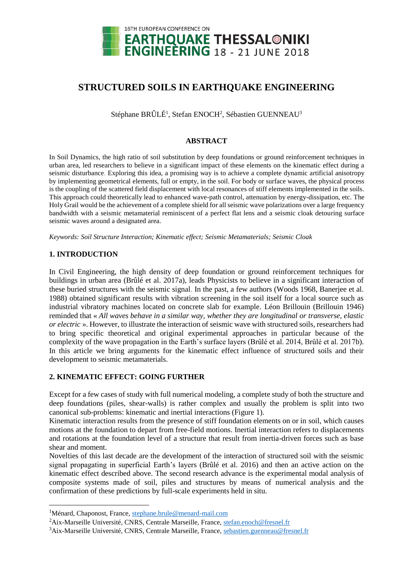

# **STRUCTURED SOILS IN EARTHQUAKE ENGINEERING**

Stéphane BRÛLÉ<sup>1</sup>, Stefan ENOCH<sup>2</sup>, Sébastien GUENNEAU<sup>3</sup>

## **ABSTRACT**

In Soil Dynamics, the high ratio of soil substitution by deep foundations or ground reinforcement techniques in urban area, led researchers to believe in a significant impact of these elements on the kinematic effect during a seismic disturbance. Exploring this idea, a promising way is to achieve a complete dynamic artificial anisotropy by implementing geometrical elements, full or empty, in the soil. For body or surface waves, the physical process is the coupling of the scattered field displacement with local resonances of stiff elements implemented in the soils. This approach could theoretically lead to enhanced wave-path control, attenuation by energy-dissipation, etc. The Holy Grail would be the achievement of a complete shield for all seismic wave polarizations over a large frequency bandwidth with a seismic metamaterial reminiscent of a perfect flat lens and a seismic cloak detouring surface seismic waves around a designated area.

*Keywords: Soil Structure Interaction; Kinematic effect; Seismic Metamaterials; Seismic Cloak*

#### **1. INTRODUCTION**

 $\overline{\phantom{a}}$ 

In Civil Engineering, the high density of deep foundation or ground reinforcement techniques for buildings in urban area (Brûlé et al. 2017a), leads Physicists to believe in a significant interaction of these buried structures with the seismic signal. In the past, a few authors (Woods 1968, Banerjee et al. 1988) obtained significant results with vibration screening in the soil itself for a local source such as industrial vibratory machines located on concrete slab for example. Léon Brillouin (Brillouin 1946) reminded that « *All waves behave in a similar way, whether they are longitudinal or transverse, elastic or electric* ». However, to illustrate the interaction of seismic wave with structured soils, researchers had to bring specific theoretical and original experimental approaches in particular because of the complexity of the wave propagation in the Earth's surface layers (Brûlé et al. 2014, Brûlé et al. 2017b). In this article we bring arguments for the kinematic effect influence of structured soils and their development to seismic metamaterials.

## **2. KINEMATIC EFFECT: GOING FURTHER**

Except for a few cases of study with full numerical modeling, a complete study of both the structure and deep foundations (piles, shear-walls) is rather complex and usually the problem is split into two canonical sub-problems: kinematic and inertial interactions (Figure 1).

Kinematic interaction results from the presence of stiff foundation elements on or in soil, which causes motions at the foundation to depart from free-field motions. Inertial interaction refers to displacements and rotations at the foundation level of a structure that result from inertia-driven forces such as base shear and moment.

Novelties of this last decade are the development of the interaction of structured soil with the seismic signal propagating in superficial Earth's layers (Brûlé et al. 2016) and then an active action on the kinematic effect described above. The second research advance is the experimental modal analysis of composite systems made of soil, piles and structures by means of numerical analysis and the confirmation of these predictions by full-scale experiments held in situ.

<sup>&</sup>lt;sup>1</sup>Ménard, Chaponost, France, [stephane.brule@menard-mail.com](mailto:stephane.brule@menard-mail.com)

<sup>&</sup>lt;sup>2</sup>Aix-Marseille Université, CNRS, Centrale Marseille, France, [stefan.enoch@fresnel.fr](mailto:stefan.enoch@fresnel.fr)

<sup>&</sup>lt;sup>3</sup>Aix-Marseille Université, CNRS, Centrale Marseille, France, [sebastien.guenneau@fresnel.fr](mailto:sebastien.guenneau@fresnel.fr)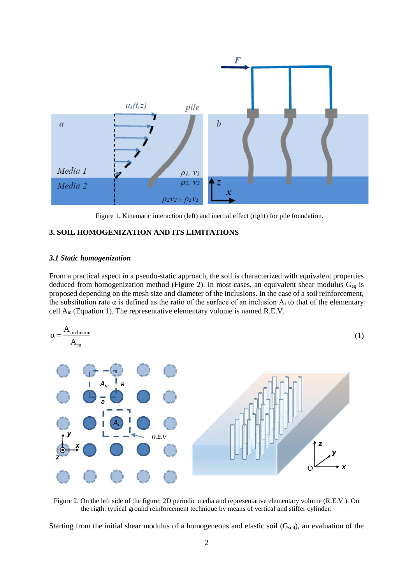

Figure 1. Kinematic interaction (left) and inertial effect (right) for pile foundation.

### **3. SOIL HOMOGENIZATION AND ITS LIMITATIONS**

#### *3.1 Static homogenization*

From a practical aspect in a pseudo-static approach, the soil is characterized with equivalent properties deduced from homogenization method (Figure 2). In most cases, an equivalent shear modulus  $G_{eq}$  is proposed depending on the mesh size and diameter of the inclusions. In the case of a soil reinforcement, the substitution rate  $\alpha$  is defined as the ratio of the surface of an inclusion  $A_i$  to that of the elementary cell  $A_m$  (Equation 1). The representative elementary volume is named R.E.V.



Figure 2. On the left side of the figure: 2D periodic media and representative elementary volume (R.E.V.). On the rigth: typical ground reinforcement technique by means of vertical and stiffer cylinder.

Starting from the initial shear modulus of a homogeneous and elastic soil  $(G_{soli})$ , an evaluation of the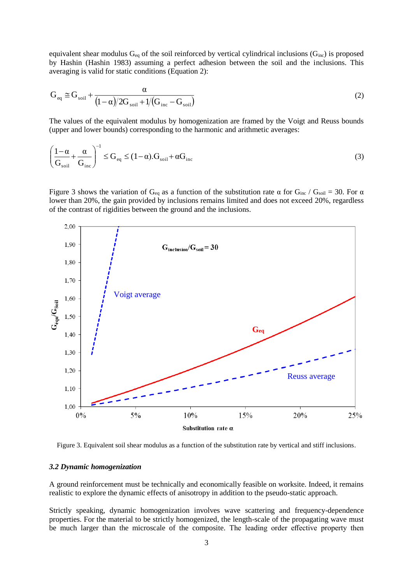equivalent shear modulus  $G_{eq}$  of the soil reinforced by vertical cylindrical inclusions ( $G_{inc}$ ) is proposed by Hashin (Hashin 1983) assuming a perfect adhesion between the soil and the inclusions. This averaging is valid for static conditions (Equation 2):

$$
G_{\text{eq}} \cong G_{\text{soil}} + \frac{\alpha}{(1-\alpha)/2G_{\text{soil}} + 1/(G_{\text{inc}} - G_{\text{soil}})}
$$
(2)

The values of the equivalent modulus by homogenization are framed by the Voigt and Reuss bounds (upper and lower bounds) corresponding to the harmonic and arithmetic averages:

$$
\left(\frac{1-\alpha}{G_{\rm soil}} + \frac{\alpha}{G_{\rm inc}}\right)^{-1} \le G_{\rm eq} \le (1-\alpha) \cdot G_{\rm soil} + \alpha G_{\rm inc}
$$
\n(3)

Figure 3 shows the variation of G<sub>eq</sub> as a function of the substitution rate α for G<sub>inc</sub> / G<sub>soil</sub> = 30. For α lower than 20%, the gain provided by inclusions remains limited and does not exceed 20%, regardless of the contrast of rigidities between the ground and the inclusions.



Figure 3. Equivalent soil shear modulus as a function of the substitution rate by vertical and stiff inclusions.

#### *3.2 Dynamic homogenization*

A ground reinforcement must be technically and economically feasible on worksite. Indeed, it remains realistic to explore the dynamic effects of anisotropy in addition to the pseudo-static approach.

Strictly speaking, dynamic homogenization involves wave scattering and frequency-dependence properties. For the material to be strictly homogenized, the length-scale of the propagating wave must be much larger than the microscale of the composite. The leading order effective property then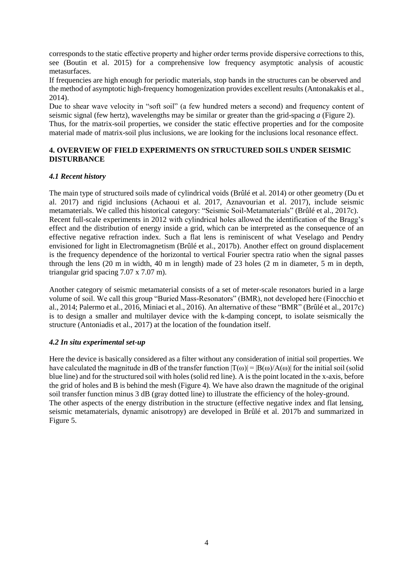corresponds to the static effective property and higher order terms provide dispersive corrections to this, see (Boutin et al. 2015) for a comprehensive low frequency asymptotic analysis of acoustic metasurfaces.

If frequencies are high enough for periodic materials, stop bands in the structures can be observed and the method of asymptotic high-frequency homogenization provides excellent results (Antonakakis et al., 2014).

Due to shear wave velocity in "soft soil" (a few hundred meters a second) and frequency content of seismic signal (few hertz), wavelengths may be similar or greater than the grid-spacing *a* (Figure 2). Thus, for the matrix-soil properties, we consider the static effective properties and for the composite material made of matrix-soil plus inclusions, we are looking for the inclusions local resonance effect.

### **4. OVERVIEW OF FIELD EXPERIMENTS ON STRUCTURED SOILS UNDER SEISMIC DISTURBANCE**

#### *4.1 Recent history*

The main type of structured soils made of cylindrical voids (Brûlé et al. 2014) or other geometry (Du et al. 2017) and rigid inclusions (Achaoui et al. 2017, Aznavourian et al. 2017), include seismic metamaterials. We called this historical category: "Seismic Soil-Metamaterials" (Brûlé et al., 2017c). Recent full-scale experiments in 2012 with cylindrical holes allowed the identification of the Bragg's effect and the distribution of energy inside a grid, which can be interpreted as the consequence of an effective negative refraction index. Such a flat lens is reminiscent of what Veselago and Pendry envisioned for light in Electromagnetism (Brûlé et al., 2017b). Another effect on ground displacement is the frequency dependence of the horizontal to vertical Fourier spectra ratio when the signal passes through the lens (20 m in width, 40 m in length) made of 23 holes (2 m in diameter, 5 m in depth, triangular grid spacing 7.07 x 7.07 m).

Another category of seismic metamaterial consists of a set of meter-scale resonators buried in a large volume of soil. We call this group "Buried Mass-Resonators" (BMR), not developed here (Finocchio et al., 2014; Palermo et al., 2016, Miniaci et al., 2016). An alternative of these "BMR" (Brûlé et al., 2017c) is to design a smaller and multilayer device with the k-damping concept, to isolate seismically the structure (Antoniadis et al., 2017) at the location of the foundation itself.

## *4.2 In situ experimental set-up*

Here the device is basically considered as a filter without any consideration of initial soil properties. We have calculated the magnitude in dB of the transfer function  $|T(\omega)| = |B(\omega)/A(\omega)|$  for the initial soil (solid blue line) and for the structured soil with holes (solid red line). A is the point located in the x-axis, before the grid of holes and B is behind the mesh (Figure 4). We have also drawn the magnitude of the original soil transfer function minus 3 dB (gray dotted line) to illustrate the efficiency of the holey-ground. The other aspects of the energy distribution in the structure (effective negative index and flat lensing, seismic metamaterials, dynamic anisotropy) are developed in Brûlé et al. 2017b and summarized in Figure 5.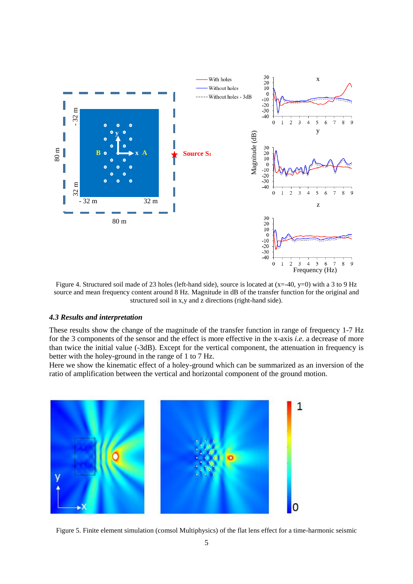

Figure 4. Structured soil made of 23 holes (left-hand side), source is located at (x=-40, y=0) with a 3 to 9 Hz source and mean frequency content around 8 Hz. Magnitude in dB of the transfer function for the original and structured soil in x,y and z directions (right-hand side).

#### *4.3 Results and interpretation*

These results show the change of the magnitude of the transfer function in range of frequency 1-7 Hz for the 3 components of the sensor and the effect is more effective in the x-axis *i.e.* a decrease of more than twice the initial value (-3dB). Except for the vertical component, the attenuation in frequency is better with the holey-ground in the range of 1 to 7 Hz.

Here we show the kinematic effect of a holey-ground which can be summarized as an inversion of the ratio of amplification between the vertical and horizontal component of the ground motion.



Figure 5. Finite element simulation (comsol Multiphysics) of the flat lens effect for a time-harmonic seismic